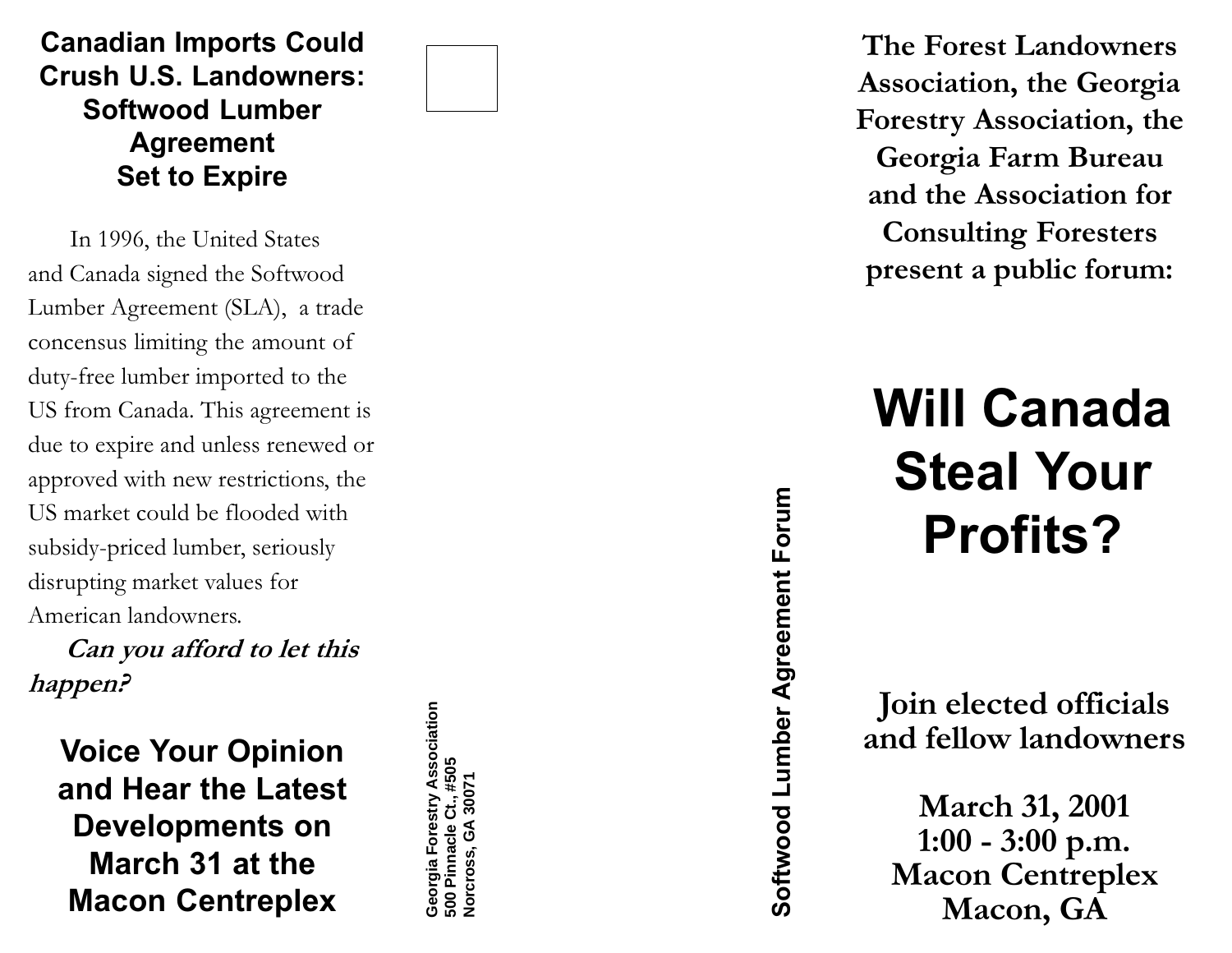## Canadian Imports Could Crush U.S. Landowners: Softwood Lumber Agreement Set to Expire

In 1996, the United States and Canada signed the Softwood Lumber Agreement (SLA), a trade concensus limiting the amount of duty-free lumber imported to the US from Canada. This agreement is due to expire and unless renewed or approved with new restrictions, the US market could be flooded with subsidy-priced lumber, seriously disrupting market values for American landowners.

Can you afford to let this happen?

Voice Your Opinion and Hear the Latest Developments on March 31 at the Macon Centreplex

Georgia Forestry Association **Georgia Forestry Association** 500 Pinnacle Ct., #505<br>Norcross, GA 30071 **500 Pinnacle Ct., #505 Norcross, GA 30071**

The Forest Landowners Association, the Georgia Forestry Association, the Georgia Farm Bureau and the Association for Consulting Foresters present a public forum:

Will Canada Steal Your Profits?

Join elected officials and fellow landowners

Softwood Lumber Agreement Forum Softwood Lumber Agreement Forum

March 31, 2001 1:00 - 3:00 p.m. Macon Centreplex Macon, GA